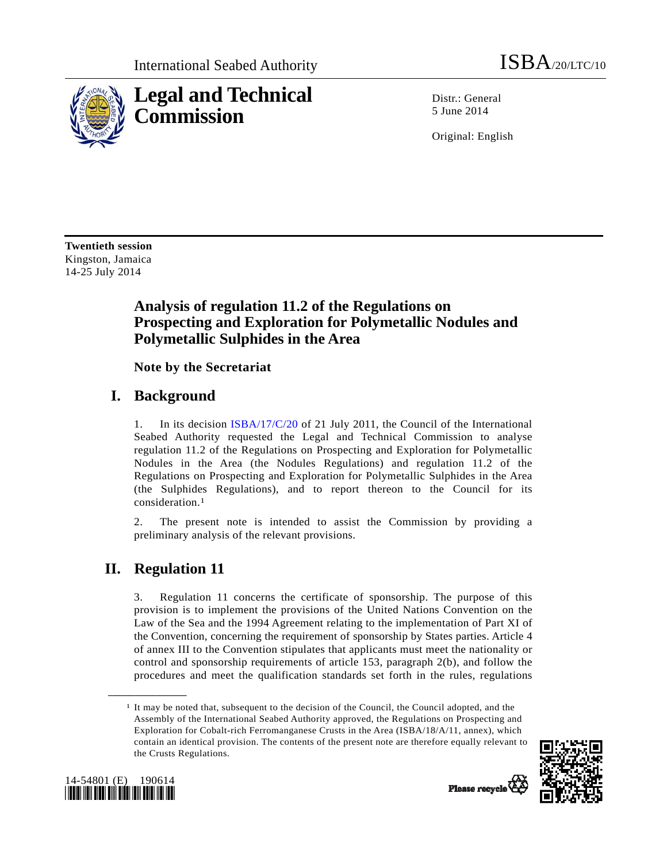

Distr.: General 5 June 2014

Original: English

**Twentieth session**  Kingston, Jamaica 14-25 July 2014

# **Analysis of regulation 11.2 of the Regulations on Prospecting and Exploration for Polymetallic Nodules and Polymetallic Sulphides in the Area**

 **Note by the Secretariat** 

### **I. Background**

1. In its decision ISBA/17/C/20 of 21 July 2011, the Council of the International Seabed Authority requested the Legal and Technical Commission to analyse regulation 11.2 of the Regulations on Prospecting and Exploration for Polymetallic Nodules in the Area (the Nodules Regulations) and regulation 11.2 of the Regulations on Prospecting and Exploration for Polymetallic Sulphides in the Area (the Sulphides Regulations), and to report thereon to the Council for its consideration.1

2. The present note is intended to assist the Commission by providing a preliminary analysis of the relevant provisions.

### **II. Regulation 11**

**\_\_\_\_\_\_\_\_\_\_\_\_\_\_\_\_\_\_** 

3. Regulation 11 concerns the certificate of sponsorship. The purpose of this provision is to implement the provisions of the United Nations Convention on the Law of the Sea and the 1994 Agreement relating to the implementation of Part XI of the Convention, concerning the requirement of sponsorship by States parties. Article 4 of annex III to the Convention stipulates that applicants must meet the nationality or control and sponsorship requirements of article 153, paragraph 2(b), and follow the procedures and meet the qualification standards set forth in the rules, regulations

<sup>1</sup> It may be noted that, subsequent to the decision of the Council, the Council adopted, and the Assembly of the International Seabed Authority approved, the Regulations on Prospecting and Exploration for Cobalt-rich Ferromanganese Crusts in the Area (ISBA/18/A/11, annex), which contain an identical provision. The contents of the present note are therefore equally relevant to the Crusts Regulations.



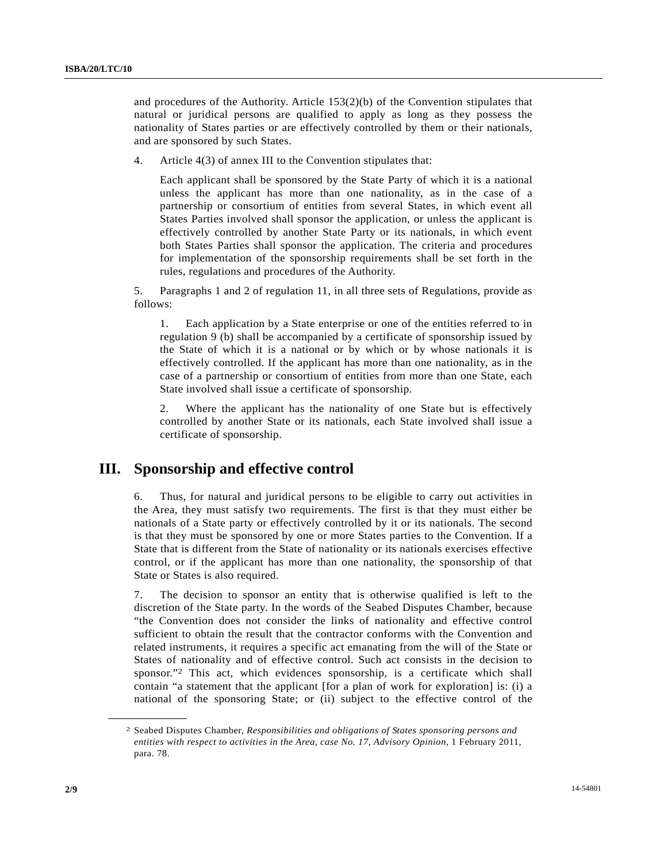and procedures of the Authority. Article 153(2)(b) of the Convention stipulates that natural or juridical persons are qualified to apply as long as they possess the nationality of States parties or are effectively controlled by them or their nationals, and are sponsored by such States.

4. Article 4(3) of annex III to the Convention stipulates that:

 Each applicant shall be sponsored by the State Party of which it is a national unless the applicant has more than one nationality, as in the case of a partnership or consortium of entities from several States, in which event all States Parties involved shall sponsor the application, or unless the applicant is effectively controlled by another State Party or its nationals, in which event both States Parties shall sponsor the application. The criteria and procedures for implementation of the sponsorship requirements shall be set forth in the rules, regulations and procedures of the Authority.

5. Paragraphs 1 and 2 of regulation 11, in all three sets of Regulations, provide as follows:

 1. Each application by a State enterprise or one of the entities referred to in regulation 9 (b) shall be accompanied by a certificate of sponsorship issued by the State of which it is a national or by which or by whose nationals it is effectively controlled. If the applicant has more than one nationality, as in the case of a partnership or consortium of entities from more than one State, each State involved shall issue a certificate of sponsorship.

 2. Where the applicant has the nationality of one State but is effectively controlled by another State or its nationals, each State involved shall issue a certificate of sponsorship.

### **III. Sponsorship and effective control**

6. Thus, for natural and juridical persons to be eligible to carry out activities in the Area, they must satisfy two requirements. The first is that they must either be nationals of a State party or effectively controlled by it or its nationals. The second is that they must be sponsored by one or more States parties to the Convention. If a State that is different from the State of nationality or its nationals exercises effective control, or if the applicant has more than one nationality, the sponsorship of that State or States is also required.

7. The decision to sponsor an entity that is otherwise qualified is left to the discretion of the State party. In the words of the Seabed Disputes Chamber, because "the Convention does not consider the links of nationality and effective control sufficient to obtain the result that the contractor conforms with the Convention and related instruments, it requires a specific act emanating from the will of the State or States of nationality and of effective control. Such act consists in the decision to sponsor."2 This act, which evidences sponsorship, is a certificate which shall contain "a statement that the applicant [for a plan of work for exploration] is: (i) a national of the sponsoring State; or (ii) subject to the effective control of the

<sup>2</sup> Seabed Disputes Chamber, *Responsibilities and obligations of States sponsoring persons and entities with respect to activities in the Area, case No. 17, Advisory Opinion*, 1 February 2011, para. 78.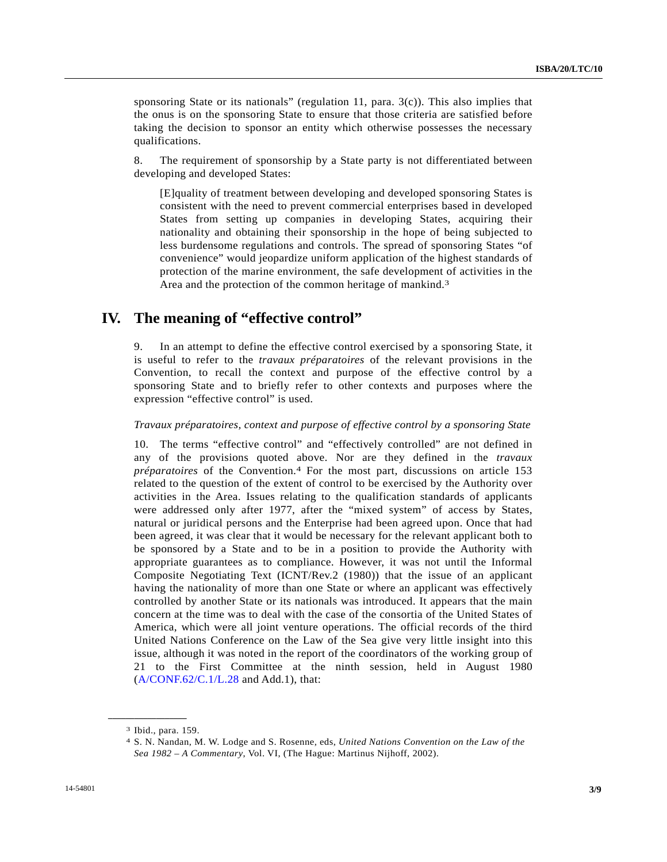sponsoring State or its nationals" (regulation 11, para. 3(c)). This also implies that the onus is on the sponsoring State to ensure that those criteria are satisfied before taking the decision to sponsor an entity which otherwise possesses the necessary qualifications.

8. The requirement of sponsorship by a State party is not differentiated between developing and developed States:

 [E]quality of treatment between developing and developed sponsoring States is consistent with the need to prevent commercial enterprises based in developed States from setting up companies in developing States, acquiring their nationality and obtaining their sponsorship in the hope of being subjected to less burdensome regulations and controls. The spread of sponsoring States "of convenience" would jeopardize uniform application of the highest standards of protection of the marine environment, the safe development of activities in the Area and the protection of the common heritage of mankind.3

## **IV. The meaning of "effective control"**

9. In an attempt to define the effective control exercised by a sponsoring State, it is useful to refer to the *travaux préparatoires* of the relevant provisions in the Convention, to recall the context and purpose of the effective control by a sponsoring State and to briefly refer to other contexts and purposes where the expression "effective control" is used.

#### *Travaux préparatoires, context and purpose of effective control by a sponsoring State*

10. The terms "effective control" and "effectively controlled" are not defined in any of the provisions quoted above. Nor are they defined in the *travaux préparatoires* of the Convention.4 For the most part, discussions on article 153 related to the question of the extent of control to be exercised by the Authority over activities in the Area. Issues relating to the qualification standards of applicants were addressed only after 1977, after the "mixed system" of access by States, natural or juridical persons and the Enterprise had been agreed upon. Once that had been agreed, it was clear that it would be necessary for the relevant applicant both to be sponsored by a State and to be in a position to provide the Authority with appropriate guarantees as to compliance. However, it was not until the Informal Composite Negotiating Text (ICNT/Rev.2 (1980)) that the issue of an applicant having the nationality of more than one State or where an applicant was effectively controlled by another State or its nationals was introduced. It appears that the main concern at the time was to deal with the case of the consortia of the United States of America, which were all joint venture operations. The official records of the third United Nations Conference on the Law of the Sea give very little insight into this issue, although it was noted in the report of the coordinators of the working group of 21 to the First Committee at the ninth session, held in August 1980  $(A/CONF.62/C.1/L.28$  and Add.1), that:

<sup>3</sup> Ibid., para. 159.

<sup>4</sup> S. N. Nandan, M. W. Lodge and S. Rosenne, eds, *United Nations Convention on the Law of the Sea 1982 – A Commentary*, Vol. VI, (The Hague: Martinus Nijhoff, 2002).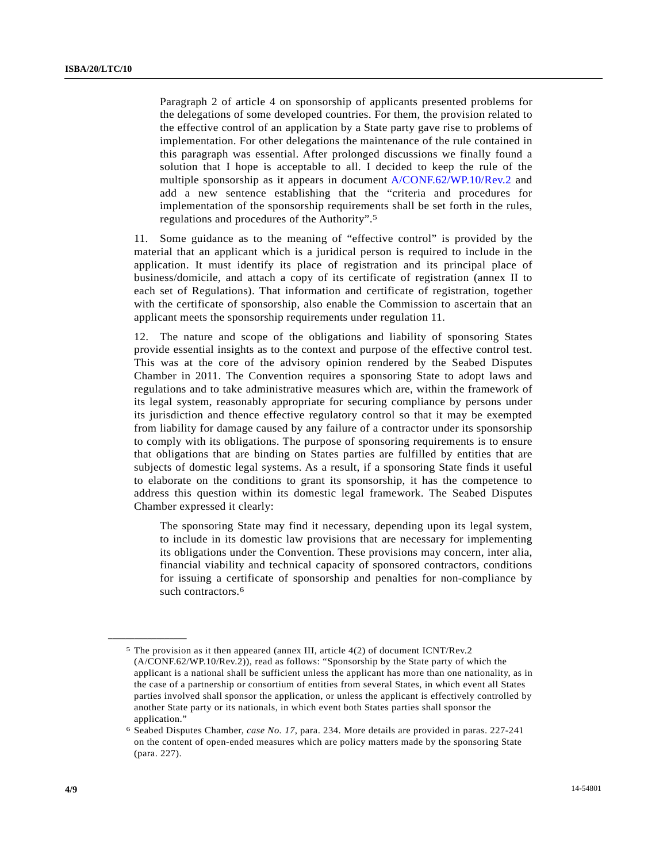Paragraph 2 of article 4 on sponsorship of applicants presented problems for the delegations of some developed countries. For them, the provision related to the effective control of an application by a State party gave rise to problems of implementation. For other delegations the maintenance of the rule contained in this paragraph was essential. After prolonged discussions we finally found a solution that I hope is acceptable to all. I decided to keep the rule of the multiple sponsorship as it appears in document A/CONF.62/WP.10/Rev.2 and add a new sentence establishing that the "criteria and procedures for implementation of the sponsorship requirements shall be set forth in the rules, regulations and procedures of the Authority".5

11. Some guidance as to the meaning of "effective control" is provided by the material that an applicant which is a juridical person is required to include in the application. It must identify its place of registration and its principal place of business/domicile, and attach a copy of its certificate of registration (annex II to each set of Regulations). That information and certificate of registration, together with the certificate of sponsorship, also enable the Commission to ascertain that an applicant meets the sponsorship requirements under regulation 11.

12. The nature and scope of the obligations and liability of sponsoring States provide essential insights as to the context and purpose of the effective control test. This was at the core of the advisory opinion rendered by the Seabed Disputes Chamber in 2011. The Convention requires a sponsoring State to adopt laws and regulations and to take administrative measures which are, within the framework of its legal system, reasonably appropriate for securing compliance by persons under its jurisdiction and thence effective regulatory control so that it may be exempted from liability for damage caused by any failure of a contractor under its sponsorship to comply with its obligations. The purpose of sponsoring requirements is to ensure that obligations that are binding on States parties are fulfilled by entities that are subjects of domestic legal systems. As a result, if a sponsoring State finds it useful to elaborate on the conditions to grant its sponsorship, it has the competence to address this question within its domestic legal framework. The Seabed Disputes Chamber expressed it clearly:

 The sponsoring State may find it necessary, depending upon its legal system, to include in its domestic law provisions that are necessary for implementing its obligations under the Convention. These provisions may concern, inter alia, financial viability and technical capacity of sponsored contractors, conditions for issuing a certificate of sponsorship and penalties for non-compliance by such contractors.<sup>6</sup>

<sup>5</sup> The provision as it then appeared (annex III, article 4(2) of document ICNT/Rev.2 (A/CONF.62/WP.10/Rev.2)), read as follows: "Sponsorship by the State party of which the applicant is a national shall be sufficient unless the applicant has more than one nationality, as in the case of a partnership or consortium of entities from several States, in which event all States parties involved shall sponsor the application, or unless the applicant is effectively controlled by another State party or its nationals, in which event both States parties shall sponsor the application."

<sup>6</sup> Seabed Disputes Chamber, *case No. 17*, para. 234. More details are provided in paras. 227-241 on the content of open-ended measures which are policy matters made by the sponsoring State (para. 227).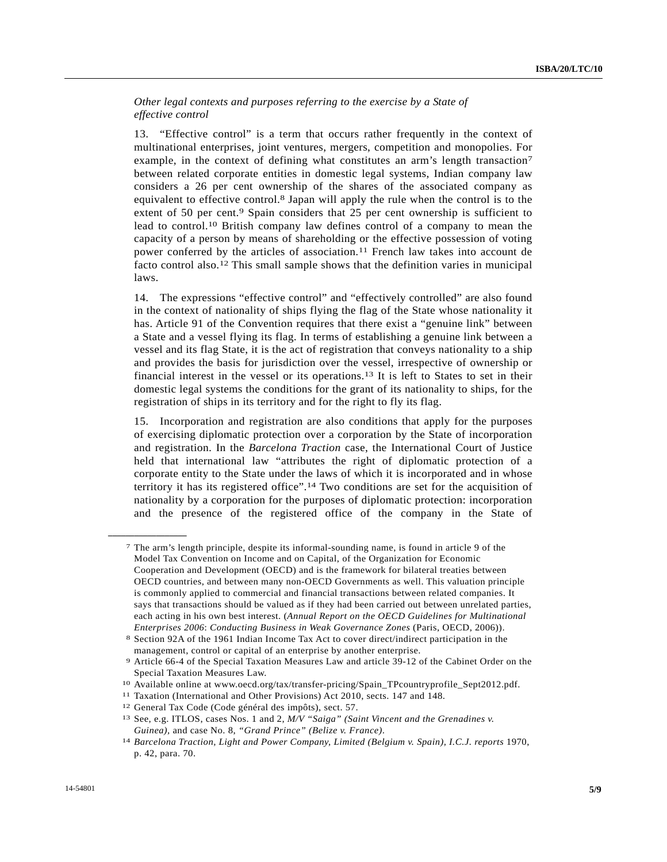*Other legal contexts and purposes referring to the exercise by a State of effective control* 

13. "Effective control" is a term that occurs rather frequently in the context of multinational enterprises, joint ventures, mergers, competition and monopolies. For example, in the context of defining what constitutes an arm's length transaction<sup>7</sup> between related corporate entities in domestic legal systems, Indian company law considers a 26 per cent ownership of the shares of the associated company as equivalent to effective control.8 Japan will apply the rule when the control is to the extent of 50 per cent.<sup>9</sup> Spain considers that 25 per cent ownership is sufficient to lead to control.10 British company law defines control of a company to mean the capacity of a person by means of shareholding or the effective possession of voting power conferred by the articles of association.11 French law takes into account de facto control also.12 This small sample shows that the definition varies in municipal laws.

14. The expressions "effective control" and "effectively controlled" are also found in the context of nationality of ships flying the flag of the State whose nationality it has. Article 91 of the Convention requires that there exist a "genuine link" between a State and a vessel flying its flag. In terms of establishing a genuine link between a vessel and its flag State, it is the act of registration that conveys nationality to a ship and provides the basis for jurisdiction over the vessel, irrespective of ownership or financial interest in the vessel or its operations.13 It is left to States to set in their domestic legal systems the conditions for the grant of its nationality to ships, for the registration of ships in its territory and for the right to fly its flag.

15. Incorporation and registration are also conditions that apply for the purposes of exercising diplomatic protection over a corporation by the State of incorporation and registration. In the *Barcelona Traction* case, the International Court of Justice held that international law "attributes the right of diplomatic protection of a corporate entity to the State under the laws of which it is incorporated and in whose territory it has its registered office".14 Two conditions are set for the acquisition of nationality by a corporation for the purposes of diplomatic protection: incorporation and the presence of the registered office of the company in the State of

<sup>7</sup> The arm's length principle, despite its informal-sounding name, is found in article 9 of the Model Tax Convention on Income and on Capital, of the Organization for Economic Cooperation and Development (OECD) and is the framework for bilateral treaties between OECD countries, and between many non-OECD Governments as well. This valuation principle is commonly applied to commercial and financial transactions between related companies. It says that transactions should be valued as if they had been carried out between unrelated parties, each acting in his own best interest. (*Annual Report on the OECD Guidelines for Multinational Enterprises 2006*: *Conducting Business in Weak Governance Zones* (Paris, OECD, 2006)). 8 Section 92A of the 1961 Indian Income Tax Act to cover direct/indirect participation in the

management, control or capital of an enterprise by another enterprise.<br>9 Article 66-4 of the Special Taxation Measures Law and article 39-12 of the Cabinet Order on the

Special Taxation Measures Law.<br>
<sup>10</sup> Available online at www.oecd.org/tax/transfer-pricing/Spain\_TPcountryprofile\_Sept2012.pdf.<br>
<sup>11</sup> Taxation (International and Other Provisions) Act 2010, sects. 147 and 148.<br>
<sup>12</sup> Genera

*Guinea),* and case No. 8, *"Grand Prince" (Belize v. France)*. 14 *Barcelona Traction, Light and Power Company, Limited (Belgium v. Spain), I.C.J. reports* 1970, p. 42, para. 70.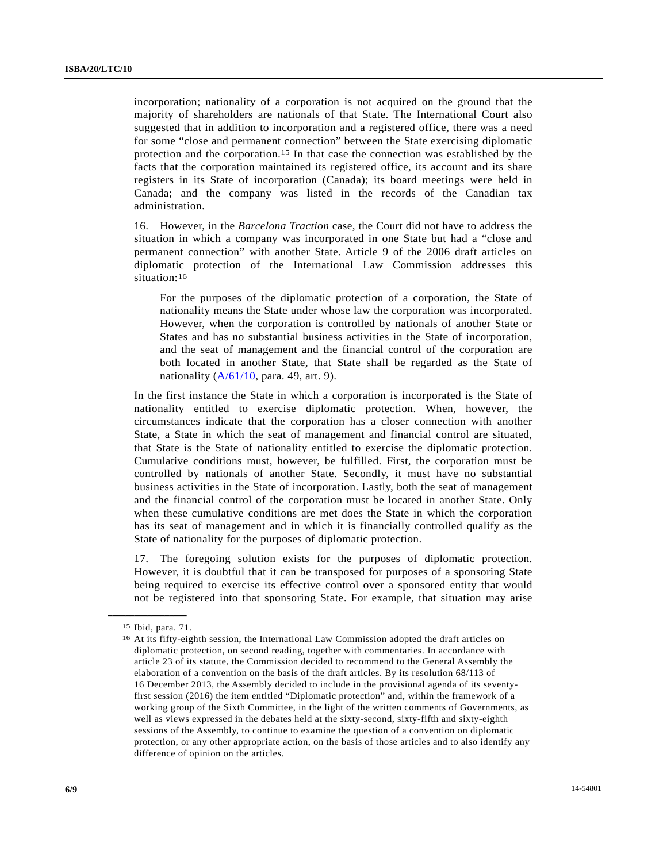incorporation; nationality of a corporation is not acquired on the ground that the majority of shareholders are nationals of that State. The International Court also suggested that in addition to incorporation and a registered office, there was a need for some "close and permanent connection" between the State exercising diplomatic protection and the corporation.15 In that case the connection was established by the facts that the corporation maintained its registered office, its account and its share registers in its State of incorporation (Canada); its board meetings were held in Canada; and the company was listed in the records of the Canadian tax administration.

16. However, in the *Barcelona Traction* case, the Court did not have to address the situation in which a company was incorporated in one State but had a "close and permanent connection" with another State. Article 9 of the 2006 draft articles on diplomatic protection of the International Law Commission addresses this situation:<sup>16</sup>

 For the purposes of the diplomatic protection of a corporation, the State of nationality means the State under whose law the corporation was incorporated. However, when the corporation is controlled by nationals of another State or States and has no substantial business activities in the State of incorporation, and the seat of management and the financial control of the corporation are both located in another State, that State shall be regarded as the State of nationality  $(A/61/10, \text{para. } 49, \text{ art. } 9)$ .

In the first instance the State in which a corporation is incorporated is the State of nationality entitled to exercise diplomatic protection. When, however, the circumstances indicate that the corporation has a closer connection with another State, a State in which the seat of management and financial control are situated, that State is the State of nationality entitled to exercise the diplomatic protection. Cumulative conditions must, however, be fulfilled. First, the corporation must be controlled by nationals of another State. Secondly, it must have no substantial business activities in the State of incorporation. Lastly, both the seat of management and the financial control of the corporation must be located in another State. Only when these cumulative conditions are met does the State in which the corporation has its seat of management and in which it is financially controlled qualify as the State of nationality for the purposes of diplomatic protection.

17. The foregoing solution exists for the purposes of diplomatic protection. However, it is doubtful that it can be transposed for purposes of a sponsoring State being required to exercise its effective control over a sponsored entity that would not be registered into that sponsoring State. For example, that situation may arise

**\_\_\_\_\_\_\_\_\_\_\_\_\_\_\_\_\_\_**  15 Ibid, para. 71.

<sup>16</sup> At its fifty-eighth session, the International Law Commission adopted the draft articles on diplomatic protection, on second reading, together with commentaries. In accordance with article 23 of its statute, the Commission decided to recommend to the General Assembly the elaboration of a convention on the basis of the draft articles. By its resolution 68/113 of 16 December 2013, the Assembly decided to include in the provisional agenda of its seventyfirst session (2016) the item entitled "Diplomatic protection" and, within the framework of a working group of the Sixth Committee, in the light of the written comments of Governments, as well as views expressed in the debates held at the sixty-second, sixty-fifth and sixty-eighth sessions of the Assembly, to continue to examine the question of a convention on diplomatic protection, or any other appropriate action, on the basis of those articles and to also identify any difference of opinion on the articles.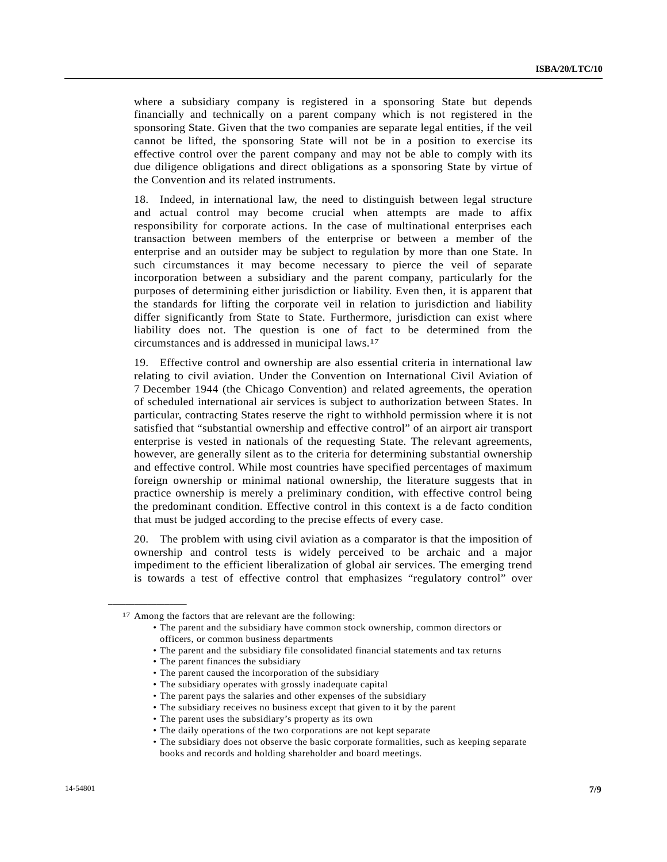where a subsidiary company is registered in a sponsoring State but depends financially and technically on a parent company which is not registered in the sponsoring State. Given that the two companies are separate legal entities, if the veil cannot be lifted, the sponsoring State will not be in a position to exercise its effective control over the parent company and may not be able to comply with its due diligence obligations and direct obligations as a sponsoring State by virtue of the Convention and its related instruments.

18. Indeed, in international law, the need to distinguish between legal structure and actual control may become crucial when attempts are made to affix responsibility for corporate actions. In the case of multinational enterprises each transaction between members of the enterprise or between a member of the enterprise and an outsider may be subject to regulation by more than one State. In such circumstances it may become necessary to pierce the veil of separate incorporation between a subsidiary and the parent company, particularly for the purposes of determining either jurisdiction or liability. Even then, it is apparent that the standards for lifting the corporate veil in relation to jurisdiction and liability differ significantly from State to State. Furthermore, jurisdiction can exist where liability does not. The question is one of fact to be determined from the circumstances and is addressed in municipal laws.17

19. Effective control and ownership are also essential criteria in international law relating to civil aviation. Under the Convention on International Civil Aviation of 7 December 1944 (the Chicago Convention) and related agreements, the operation of scheduled international air services is subject to authorization between States. In particular, contracting States reserve the right to withhold permission where it is not satisfied that "substantial ownership and effective control" of an airport air transport enterprise is vested in nationals of the requesting State. The relevant agreements, however, are generally silent as to the criteria for determining substantial ownership and effective control. While most countries have specified percentages of maximum foreign ownership or minimal national ownership, the literature suggests that in practice ownership is merely a preliminary condition, with effective control being the predominant condition. Effective control in this context is a de facto condition that must be judged according to the precise effects of every case.

20. The problem with using civil aviation as a comparator is that the imposition of ownership and control tests is widely perceived to be archaic and a major impediment to the efficient liberalization of global air services. The emerging trend is towards a test of effective control that emphasizes "regulatory control" over

**\_\_\_\_\_\_\_\_\_\_\_\_\_\_\_\_\_\_** 

• The daily operations of the two corporations are not kept separate

<sup>17</sup> Among the factors that are relevant are the following:

 <sup>•</sup> The parent and the subsidiary have common stock ownership, common directors or officers, or common business departments

 <sup>•</sup> The parent and the subsidiary file consolidated financial statements and tax returns

 <sup>•</sup> The parent finances the subsidiary

 <sup>•</sup> The parent caused the incorporation of the subsidiary

 <sup>•</sup> The subsidiary operates with grossly inadequate capital

 <sup>•</sup> The parent pays the salaries and other expenses of the subsidiary

 <sup>•</sup> The subsidiary receives no business except that given to it by the parent

 <sup>•</sup> The parent uses the subsidiary's property as its own

 <sup>•</sup> The subsidiary does not observe the basic corporate formalities, such as keeping separate books and records and holding shareholder and board meetings.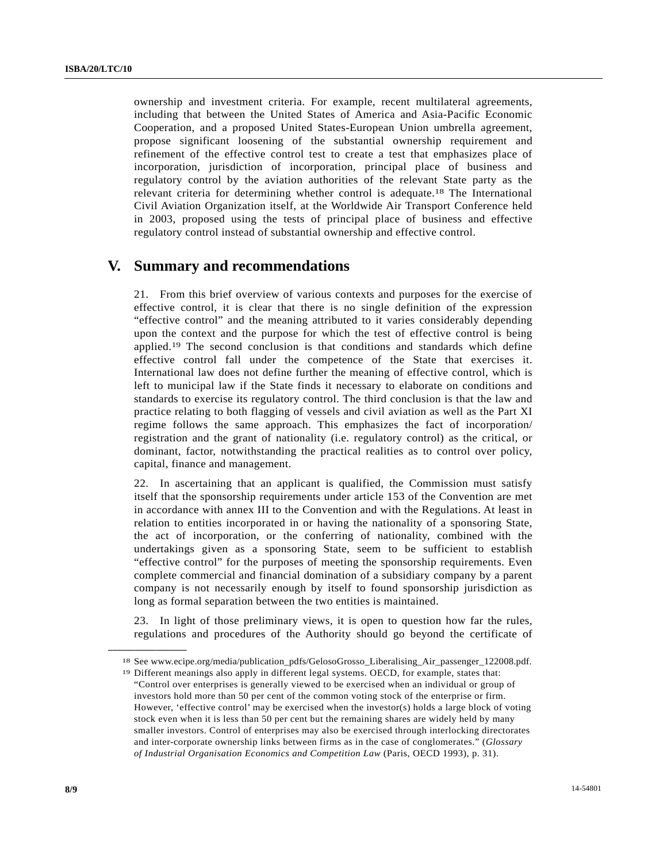ownership and investment criteria. For example, recent multilateral agreements, including that between the United States of America and Asia-Pacific Economic Cooperation, and a proposed United States-European Union umbrella agreement, propose significant loosening of the substantial ownership requirement and refinement of the effective control test to create a test that emphasizes place of incorporation, jurisdiction of incorporation, principal place of business and regulatory control by the aviation authorities of the relevant State party as the relevant criteria for determining whether control is adequate.18 The International Civil Aviation Organization itself, at the Worldwide Air Transport Conference held in 2003, proposed using the tests of principal place of business and effective regulatory control instead of substantial ownership and effective control.

### **V. Summary and recommendations**

21. From this brief overview of various contexts and purposes for the exercise of effective control, it is clear that there is no single definition of the expression "effective control" and the meaning attributed to it varies considerably depending upon the context and the purpose for which the test of effective control is being applied.19 The second conclusion is that conditions and standards which define effective control fall under the competence of the State that exercises it. International law does not define further the meaning of effective control, which is left to municipal law if the State finds it necessary to elaborate on conditions and standards to exercise its regulatory control. The third conclusion is that the law and practice relating to both flagging of vessels and civil aviation as well as the Part XI regime follows the same approach. This emphasizes the fact of incorporation/ registration and the grant of nationality (i.e. regulatory control) as the critical, or dominant, factor, notwithstanding the practical realities as to control over policy, capital, finance and management.

22. In ascertaining that an applicant is qualified, the Commission must satisfy itself that the sponsorship requirements under article 153 of the Convention are met in accordance with annex III to the Convention and with the Regulations. At least in relation to entities incorporated in or having the nationality of a sponsoring State, the act of incorporation, or the conferring of nationality, combined with the undertakings given as a sponsoring State, seem to be sufficient to establish "effective control" for the purposes of meeting the sponsorship requirements. Even complete commercial and financial domination of a subsidiary company by a parent company is not necessarily enough by itself to found sponsorship jurisdiction as long as formal separation between the two entities is maintained.

23. In light of those preliminary views, it is open to question how far the rules, regulations and procedures of the Authority should go beyond the certificate of

<sup>&</sup>lt;sup>18</sup> See www.ecipe.org/media/publication\_pdfs/GelosoGrosso\_Liberalising\_Air\_passenger\_122008.pdf. <sup>19</sup> Different meanings also apply in different legal systems. OECD, for example, states that:

<sup>&</sup>quot;Control over enterprises is generally viewed to be exercised when an individual or group of investors hold more than 50 per cent of the common voting stock of the enterprise or firm. However, 'effective control' may be exercised when the investor(s) holds a large block of voting stock even when it is less than 50 per cent but the remaining shares are widely held by many smaller investors. Control of enterprises may also be exercised through interlocking directorates and inter-corporate ownership links between firms as in the case of conglomerates." (*Glossary of Industrial Organisation Economics and Competition Law* (Paris, OECD 1993), p. 31).